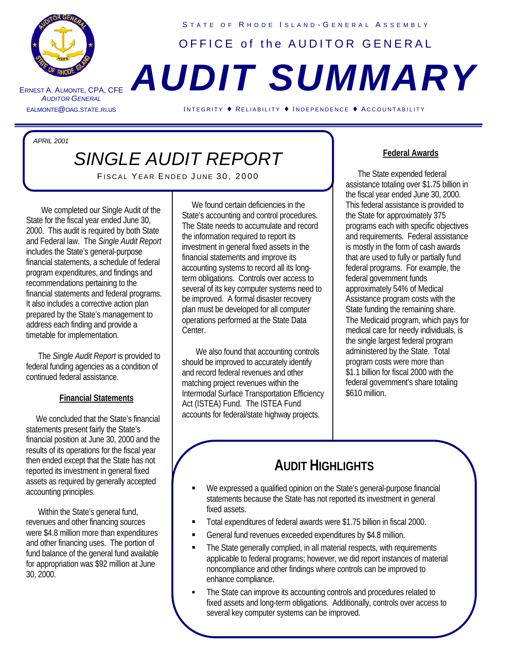

ERNEST A. A LMONTE *A UDITOR GENERAL*

S TATE OF R HODE I SLAND - G ENERAL A SSEMBLY OFFICE of the AUDITOR GENERAL

# , CPA, CFE *AUDIT SUMMARY*

EALMONTE@OAG.STATE.RI.US I NTEGRITY ♦ RELIABILITY ♦ I NDEPENDENCE ♦ A CCOUNTABILITY

*APRIL 2001*

## *SINGLE AUDIT REPORT*

í

FISCAL YEAR ENDED JUNE 30, 2000

We completed our Single Audit of the State for the fiscal year ended June 30, 2000. This audit is required by both State and Federal law. The *Single Audit Report* includes the State's general-purpose financial statements, a schedule of federal program expenditures, and findings and recommendations pertaining to the financial statements and federal programs. It also includes a corrective action plan prepared by the State's management to address each finding and provide a timetable for implementation.

 The *Single Audit Report* is provided to federal funding agencies as a condition of continued federal assistance.

### **Financial Statements**

 We concluded that the State's financial statements present fairly the State's financial position at June 30, 2000 and the results of its operations for the fiscal year then ended except that the State has not reported its investment in general fixed assets as required by generally accepted accounting principles.

 Within the State's general fund, revenues and other financing sources were \$4.8 million more than expenditures and other financing uses. The portion of fund balance of the general fund available for appropriation was \$92 million at June 30, 2000.

We found certain deficiencies in the State's accounting and control procedures. The State needs to accumulate and record the information required to report its investment in general fixed assets in the financial statements and improve its accounting systems to record all its longterm obligations. Controls over access to several of its key computer systems need to be improved. A formal disaster recovery plan must be developed for all computer operations performed at the State Data Center.

We also found that accounting controls should be improved to accurately identify and record federal revenues and other matching project revenues within the Intermodal Surface Transportation Efficiency Act (ISTEA) Fund. The ISTEA Fund accounts for federal/state highway projects.

#### **Federal Awards**

 The State expended federal assistance totaling over \$1.75 billion in the fiscal year ended June 30, 2000. This federal assistance is provided to the State for approximately 375 programs each with specific objectives and requirements. Federal assistance is mostly in the form of cash awards that are used to fully or partially fund federal programs. For example, the federal government funds approximately 54% of Medical Assistance program costs with the State funding the remaining share. The Medicaid program, which pays for medical care for needy individuals, is the single largest federal program administered by the State. Total program costs were more than \$1.1 billion for fiscal 2000 with the federal government's share totaling \$610 million.

## **AUDIT HIGHLIGHTS**

- We expressed a qualified opinion on the State's general-purpose financial statements because the State has not reported its investment in general fixed assets.
- ß Total expenditures of federal awards were \$1.75 billion in fiscal 2000.
- ß General fund revenues exceeded expenditures by \$4.8 million.
- The State generally complied, in all material respects, with requirements applicable to federal programs; however, we did report instances of material noncompliance and other findings where controls can be improved to enhance compliance.
- The State can improve its accounting controls and procedures related to fixed assets and long-term obligations. Additionally, controls over access to several key computer systems can be improved.